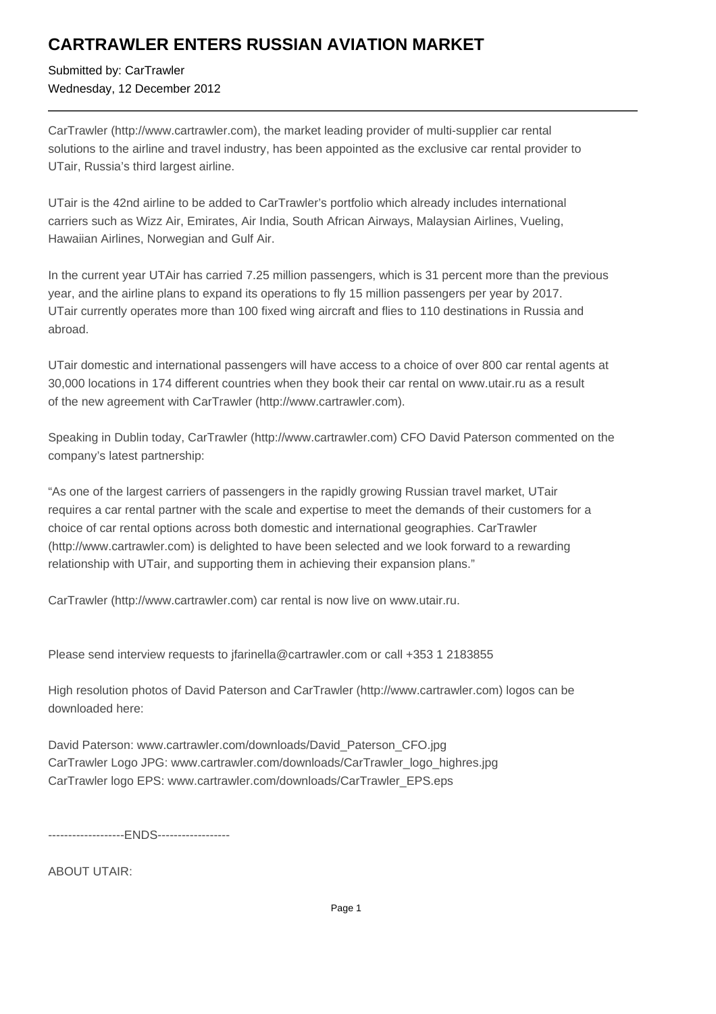## **CARTRAWLER ENTERS RUSSIAN AVIATION MARKET**

Submitted by: CarTrawler Wednesday, 12 December 2012

CarTrawler (http://www.cartrawler.com), the market leading provider of multi-supplier car rental solutions to the airline and travel industry, has been appointed as the exclusive car rental provider to UTair, Russia's third largest airline.

UTair is the 42nd airline to be added to CarTrawler's portfolio which already includes international carriers such as Wizz Air, Emirates, Air India, South African Airways, Malaysian Airlines, Vueling, Hawaiian Airlines, Norwegian and Gulf Air.

In the current year UTAir has carried 7.25 million passengers, which is 31 percent more than the previous year, and the airline plans to expand its operations to fly 15 million passengers per year by 2017. UTair currently operates more than 100 fixed wing aircraft and flies to 110 destinations in Russia and abroad.

UTair domestic and international passengers will have access to a choice of over 800 car rental agents at 30,000 locations in 174 different countries when they book their car rental on www.utair.ru as a result of the new agreement with CarTrawler (http://www.cartrawler.com).

Speaking in Dublin today, CarTrawler (http://www.cartrawler.com) CFO David Paterson commented on the company's latest partnership:

"As one of the largest carriers of passengers in the rapidly growing Russian travel market, UTair requires a car rental partner with the scale and expertise to meet the demands of their customers for a choice of car rental options across both domestic and international geographies. CarTrawler (http://www.cartrawler.com) is delighted to have been selected and we look forward to a rewarding relationship with UTair, and supporting them in achieving their expansion plans."

CarTrawler (http://www.cartrawler.com) car rental is now live on www.utair.ru.

Please send interview requests to jfarinella@cartrawler.com or call +353 1 2183855

High resolution photos of David Paterson and CarTrawler (http://www.cartrawler.com) logos can be downloaded here:

David Paterson: www.cartrawler.com/downloads/David\_Paterson\_CFO.jpg CarTrawler Logo JPG: www.cartrawler.com/downloads/CarTrawler\_logo\_highres.jpg CarTrawler logo EPS: www.cartrawler.com/downloads/CarTrawler\_EPS.eps

-------------------ENDS------------------

ABOUT UTAIR: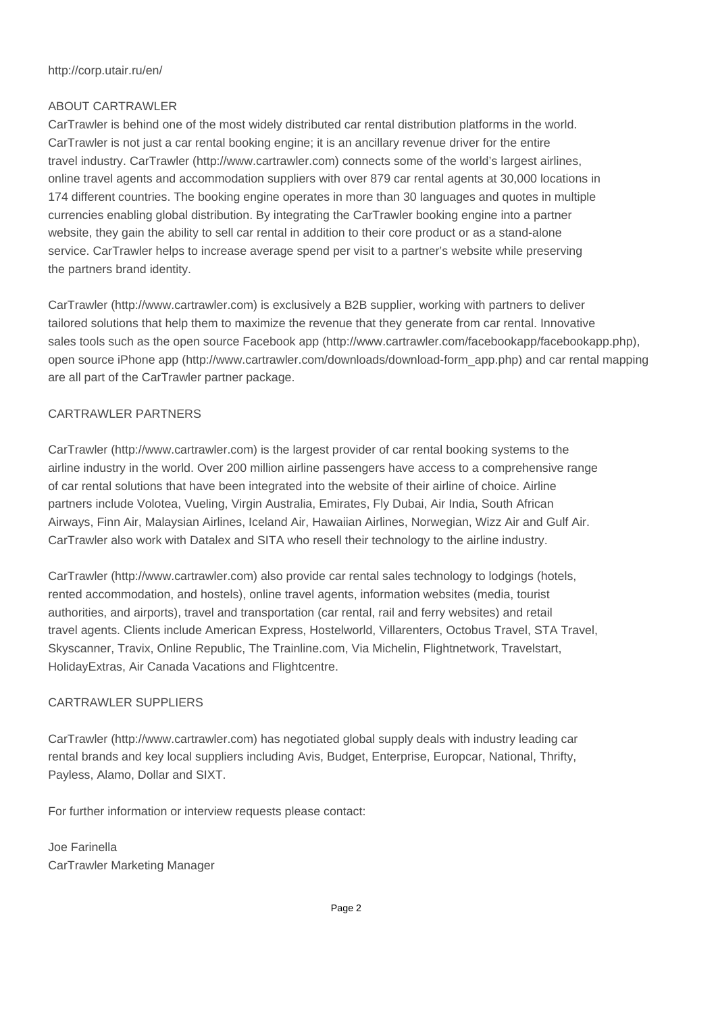#### http://corp.utair.ru/en/

### ABOUT CARTRAWLER

CarTrawler is behind one of the most widely distributed car rental distribution platforms in the world. CarTrawler is not just a car rental booking engine; it is an ancillary revenue driver for the entire travel industry. CarTrawler (http://www.cartrawler.com) connects some of the world's largest airlines, online travel agents and accommodation suppliers with over 879 car rental agents at 30,000 locations in 174 different countries. The booking engine operates in more than 30 languages and quotes in multiple currencies enabling global distribution. By integrating the CarTrawler booking engine into a partner website, they gain the ability to sell car rental in addition to their core product or as a stand-alone service. CarTrawler helps to increase average spend per visit to a partner's website while preserving the partners brand identity.

CarTrawler (http://www.cartrawler.com) is exclusively a B2B supplier, working with partners to deliver tailored solutions that help them to maximize the revenue that they generate from car rental. Innovative sales tools such as the open source Facebook app (http://www.cartrawler.com/facebookapp/facebookapp.php), open source iPhone app (http://www.cartrawler.com/downloads/download-form\_app.php) and car rental mapping are all part of the CarTrawler partner package.

### CARTRAWLER PARTNERS

CarTrawler (http://www.cartrawler.com) is the largest provider of car rental booking systems to the airline industry in the world. Over 200 million airline passengers have access to a comprehensive range of car rental solutions that have been integrated into the website of their airline of choice. Airline partners include Volotea, Vueling, Virgin Australia, Emirates, Fly Dubai, Air India, South African Airways, Finn Air, Malaysian Airlines, Iceland Air, Hawaiian Airlines, Norwegian, Wizz Air and Gulf Air. CarTrawler also work with Datalex and SITA who resell their technology to the airline industry.

CarTrawler (http://www.cartrawler.com) also provide car rental sales technology to lodgings (hotels, rented accommodation, and hostels), online travel agents, information websites (media, tourist authorities, and airports), travel and transportation (car rental, rail and ferry websites) and retail travel agents. Clients include American Express, Hostelworld, Villarenters, Octobus Travel, STA Travel, Skyscanner, Travix, Online Republic, The Trainline.com, Via Michelin, Flightnetwork, Travelstart, HolidayExtras, Air Canada Vacations and Flightcentre.

### CARTRAWLER SUPPLIERS

CarTrawler (http://www.cartrawler.com) has negotiated global supply deals with industry leading car rental brands and key local suppliers including Avis, Budget, Enterprise, Europcar, National, Thrifty, Payless, Alamo, Dollar and SIXT.

For further information or interview requests please contact:

Joe Farinella CarTrawler Marketing Manager